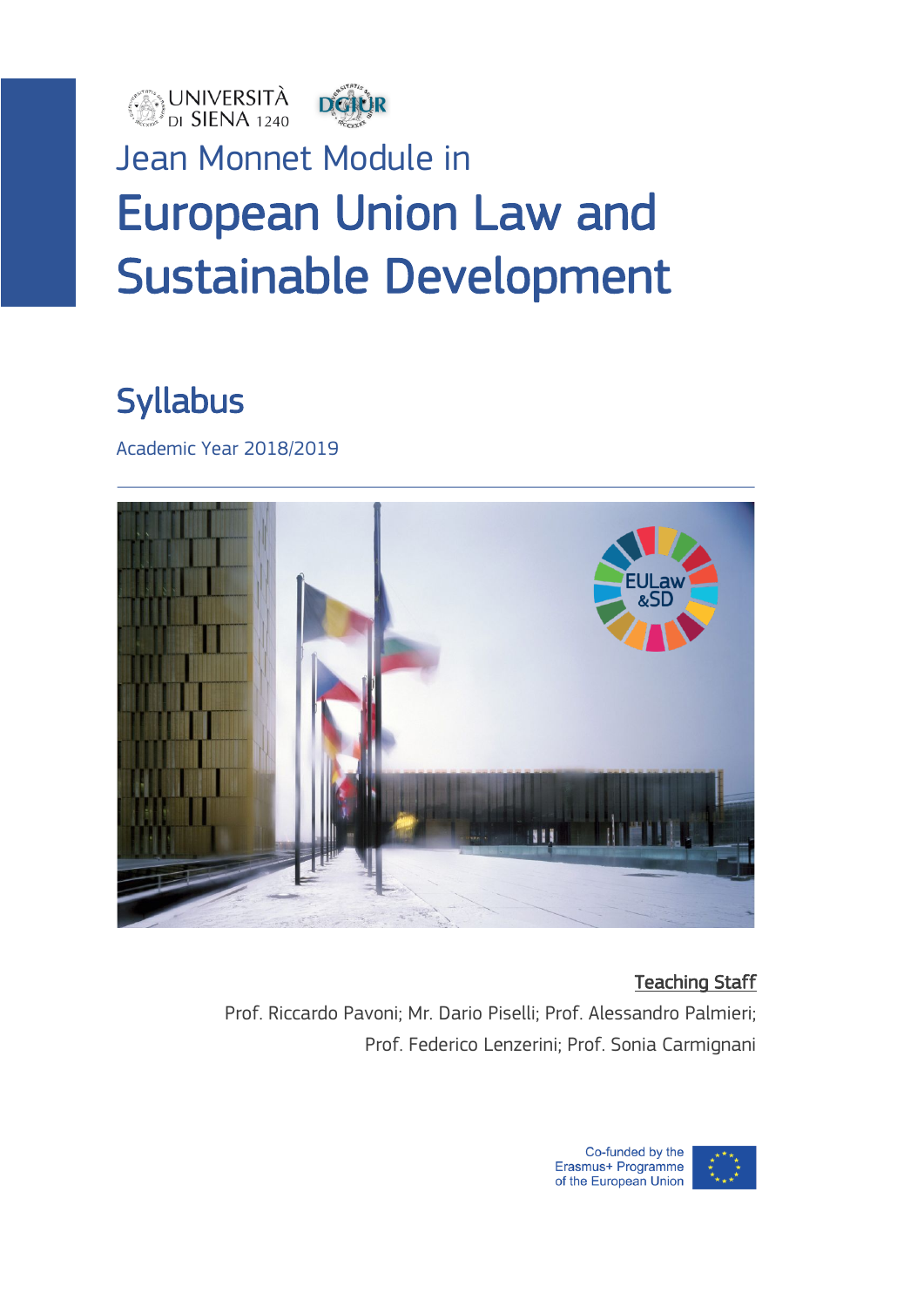



## Jean Monnet Module in European Union Law and Sustainable Development

### Syllabus

Academic Year 2018/2019



#### Teaching Staff

Prof. Riccardo Pavoni; Mr. Dario Piselli; Prof. Alessandro Palmieri; Prof. Federico Lenzerini; Prof. Sonia Carmignani

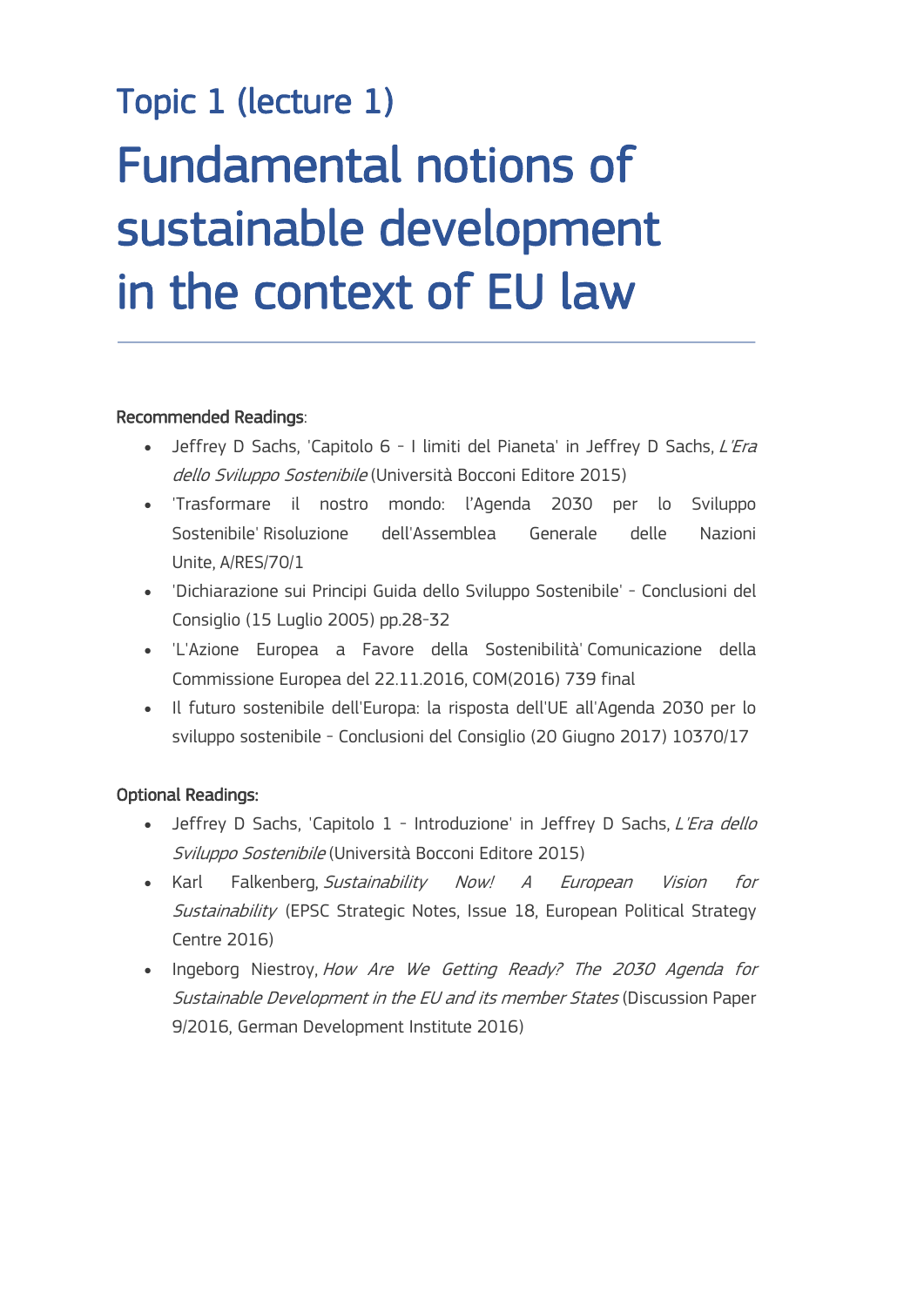# Topic 1 (lecture 1) Fundamental notions of sustainable development in the context of EU law

#### Recommended Readings:

- Jeffrey D Sachs, 'Capitolo 6 I limiti del Pianeta' in Jeffrey D Sachs, L'Era dello Sviluppo Sostenibile (Università Bocconi Editore 2015)
- 'Trasformare il nostro mondo: l'Agenda 2030 per lo Sviluppo Sostenibile' Risoluzione dell'Assemblea Generale delle Nazioni Unite, A/RES/70/1
- 'Dichiarazione sui Principi Guida dello Sviluppo Sostenibile' Conclusioni del Consiglio (15 Luglio 2005) pp.28-32
- 'L'Azione Europea a Favore della Sostenibilità' Comunicazione della Commissione Europea del 22.11.2016, COM(2016) 739 final
- Il futuro sostenibile dell'Europa: la risposta dell'UE all'Agenda 2030 per lo sviluppo sostenibile - Conclusioni del Consiglio (20 Giugno 2017) 10370/17

#### Optional Readings:

- Jeffrey D Sachs, 'Capitolo 1 Introduzione' in Jeffrey D Sachs, L'Era dello Sviluppo Sostenibile (Università Bocconi Editore 2015)
- Karl Falkenberg, Sustainability Now! A European Vision for Sustainability (EPSC Strategic Notes, Issue 18, European Political Strategy Centre 2016)
- Ingeborg Niestroy, How Are We Getting Ready? The 2030 Agenda for Sustainable Development in the EU and its member States (Discussion Paper 9/2016, German Development Institute 2016)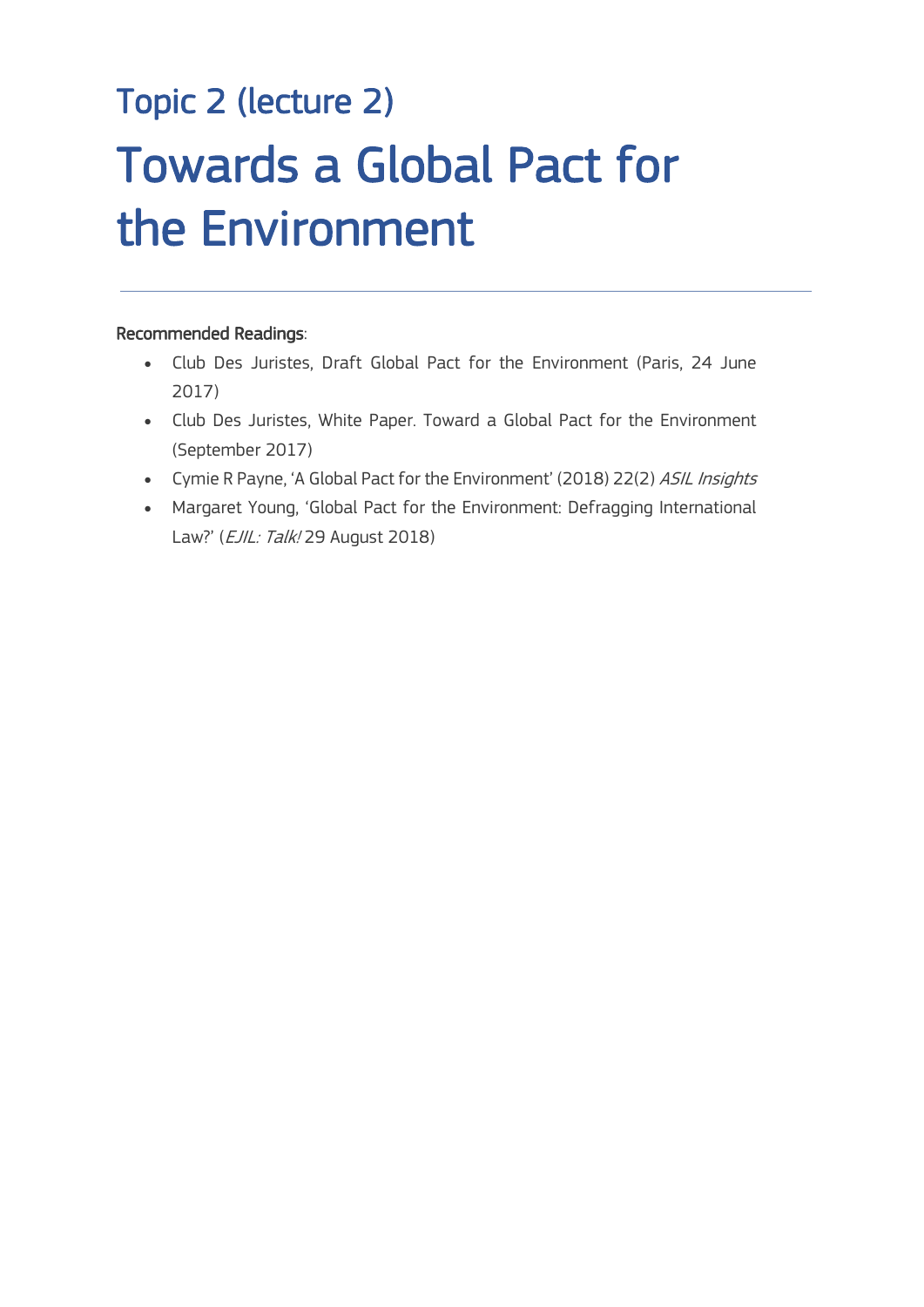# Topic 2 (lecture 2) Towards a Global Pact for the Environment

#### Recommended Readings:

 $\overline{a}$ 

- Club Des Juristes, Draft Global Pact for the Environment (Paris, 24 June 2017)
- Club Des Juristes, White Paper. Toward a Global Pact for the Environment (September 2017)
- Cymie R Payne, 'A Global Pact for the Environment' (2018) 22(2) ASIL Insights
- Margaret Young, 'Global Pact for the Environment: Defragging International Law?' (EJIL: Talk! 29 August 2018)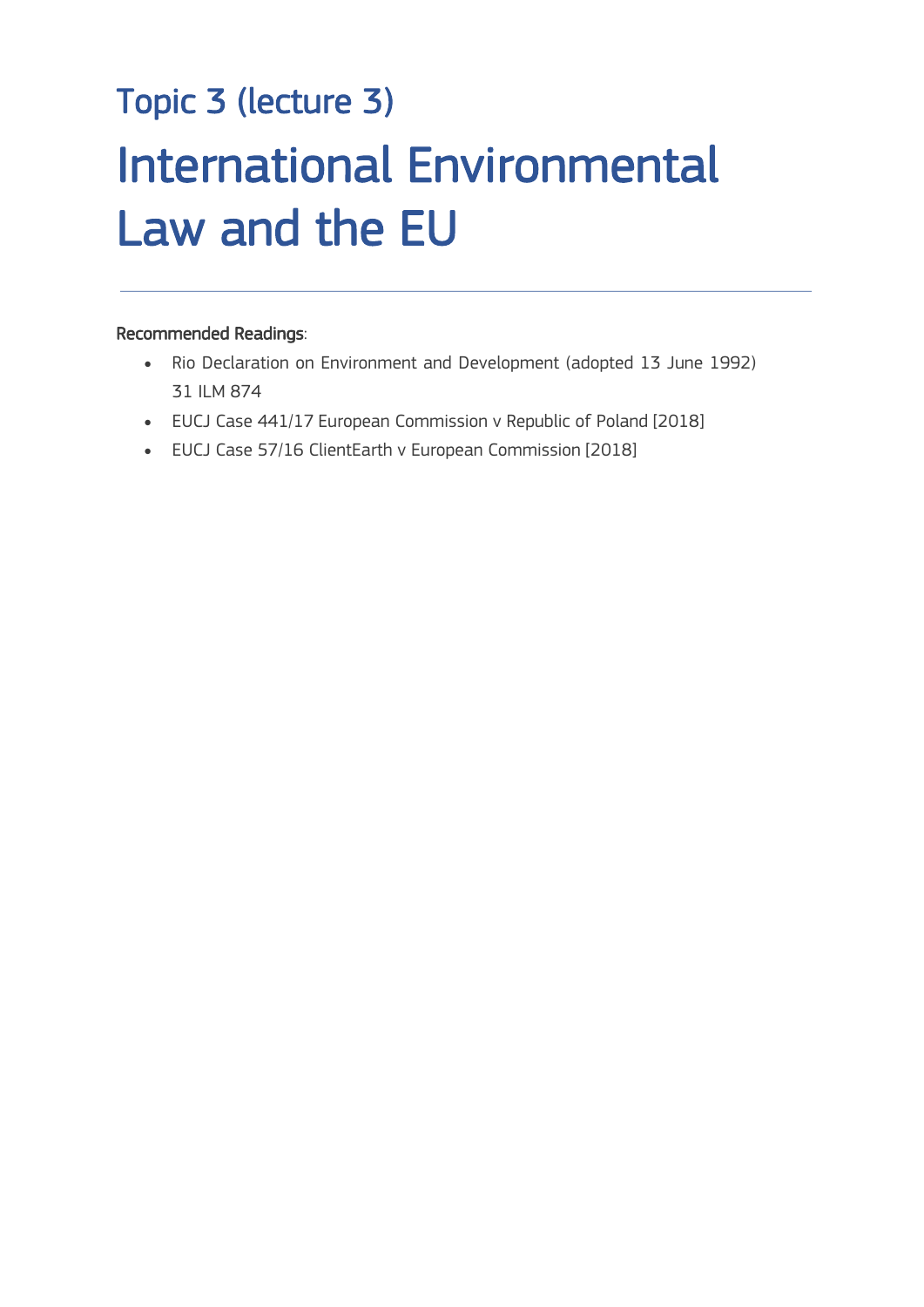# Topic 3 (lecture 3) International Environmental Law and the EU

#### Recommended Readings:

 $\overline{a}$ 

- Rio Declaration on Environment and Development (adopted 13 June 1992) 31 ILM 874
- EUCJ Case 441/17 European Commission v Republic of Poland [2018]
- EUCJ Case 57/16 ClientEarth v European Commission [2018]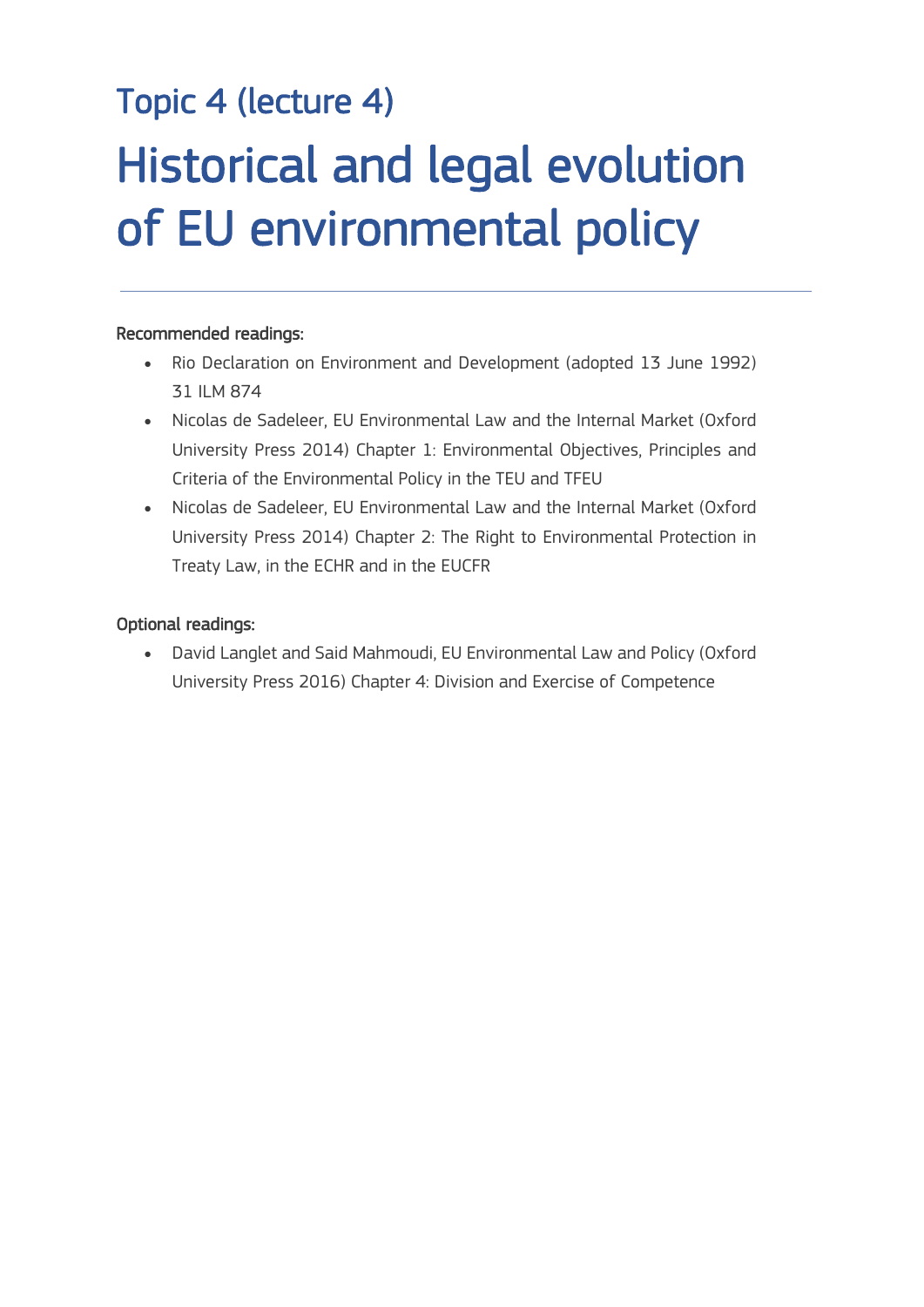# Topic 4 (lecture 4) Historical and legal evolution of EU environmental policy

#### Recommended readings:

 $\overline{a}$ 

- Rio Declaration on Environment and Development (adopted 13 June 1992) 31 ILM 874
- Nicolas de Sadeleer, EU Environmental Law and the Internal Market (Oxford University Press 2014) Chapter 1: Environmental Objectives, Principles and Criteria of the Environmental Policy in the TEU and TFEU
- Nicolas de Sadeleer, EU Environmental Law and the Internal Market (Oxford University Press 2014) Chapter 2: The Right to Environmental Protection in Treaty Law, in the ECHR and in the EUCFR

#### Optional readings:

• David Langlet and Said Mahmoudi, EU Environmental Law and Policy (Oxford University Press 2016) Chapter 4: Division and Exercise of Competence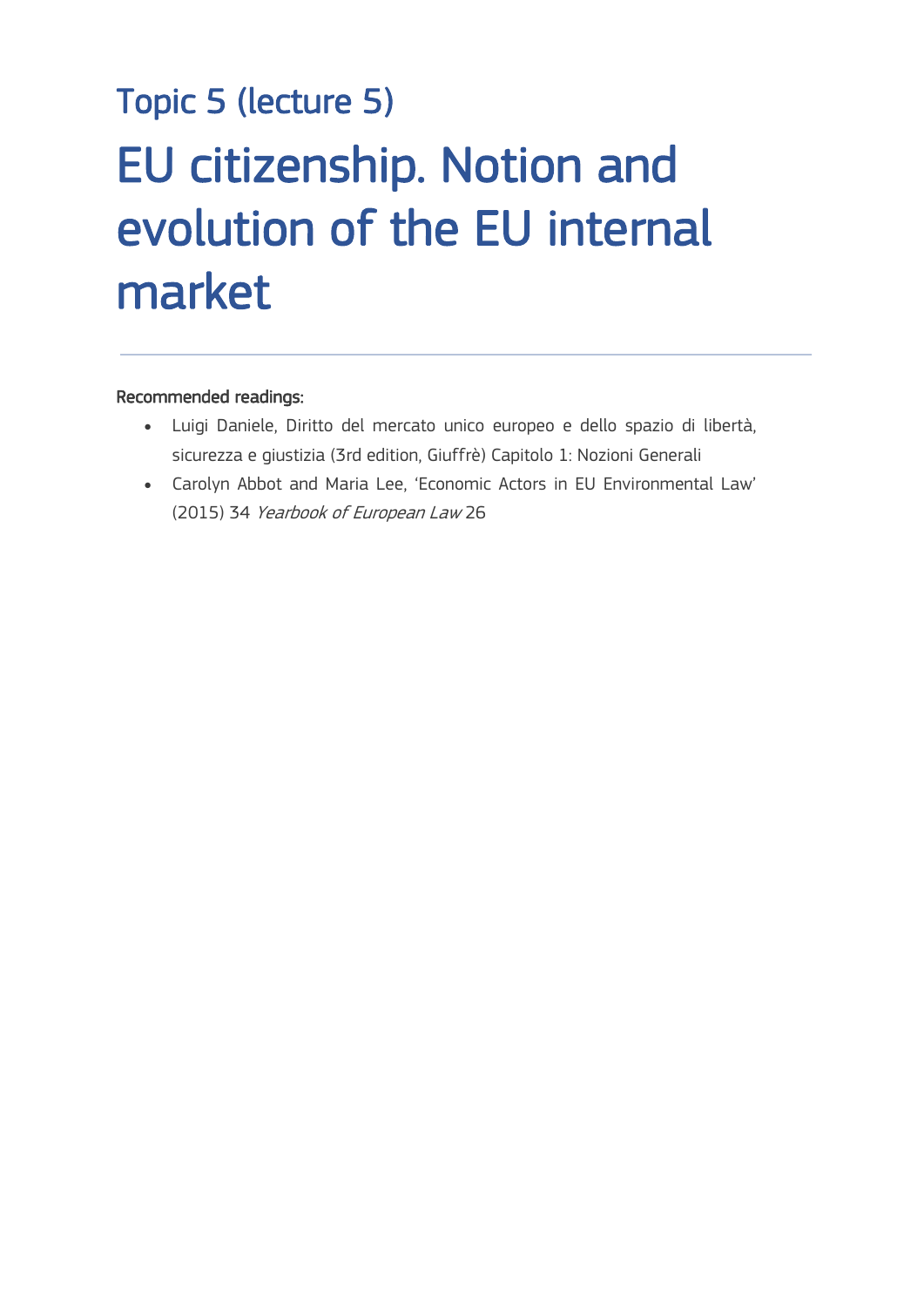# Topic 5 (lecture 5) EU citizenship. Notion and evolution of the EU internal market

#### Recommended readings:

 $\frac{1}{\sqrt{2}}$ 

- Luigi Daniele, Diritto del mercato unico europeo e dello spazio di libertà, sicurezza e giustizia (3rd edition, Giuffrè) Capitolo 1: Nozioni Generali
- Carolyn Abbot and Maria Lee, 'Economic Actors in EU Environmental Law' (2015) 34 Yearbook of European Law 26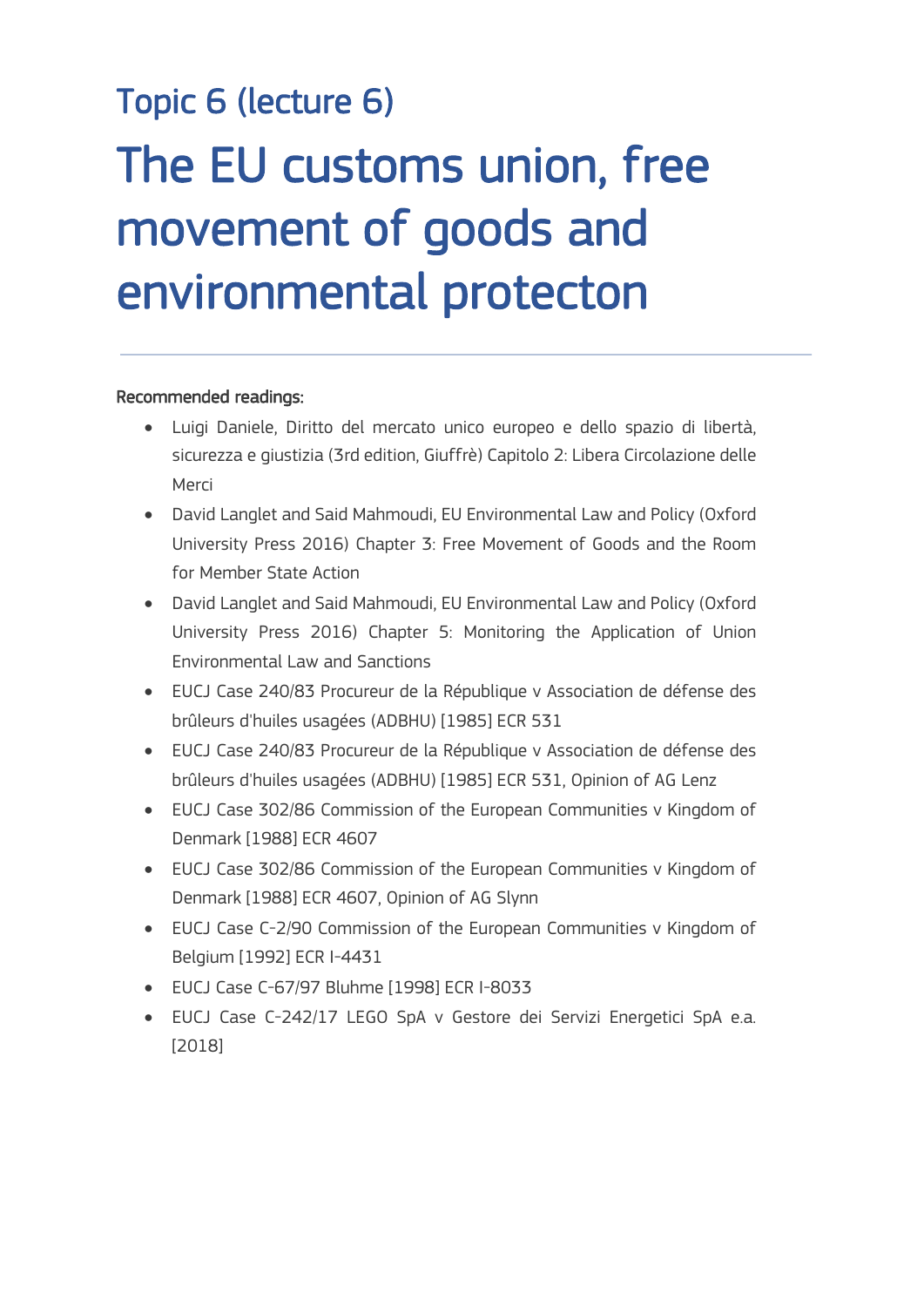# Topic 6 (lecture 6) The EU customs union, free movement of goods and environmental protecton

#### Recommended readings:

 $\frac{1}{\sqrt{2}}$ 

- Luigi Daniele, Diritto del mercato unico europeo e dello spazio di libertà, sicurezza e giustizia (3rd edition, Giuffrè) Capitolo 2: Libera Circolazione delle Merci
- David Langlet and Said Mahmoudi, EU Environmental Law and Policy (Oxford University Press 2016) Chapter 3: Free Movement of Goods and the Room for Member State Action
- David Langlet and Said Mahmoudi, EU Environmental Law and Policy (Oxford University Press 2016) Chapter 5: Monitoring the Application of Union Environmental Law and Sanctions
- EUCJ Case 240/83 Procureur de la République v Association de défense des brûleurs d'huiles usagées (ADBHU) [1985] ECR 531
- EUCJ Case 240/83 Procureur de la République v Association de défense des brûleurs d'huiles usagées (ADBHU) [1985] ECR 531, Opinion of AG Lenz
- EUCJ Case 302/86 Commission of the European Communities v Kingdom of Denmark [1988] ECR 4607
- EUCJ Case 302/86 Commission of the European Communities v Kingdom of Denmark [1988] ECR 4607, Opinion of AG Slynn
- EUCJ Case C-2/90 Commission of the European Communities v Kingdom of Belgium [1992] ECR I-4431
- EUCJ Case C-67/97 Bluhme [1998] ECR I-8033
- EUCJ Case C-242/17 LEGO SpA v Gestore dei Servizi Energetici SpA e.a. [2018]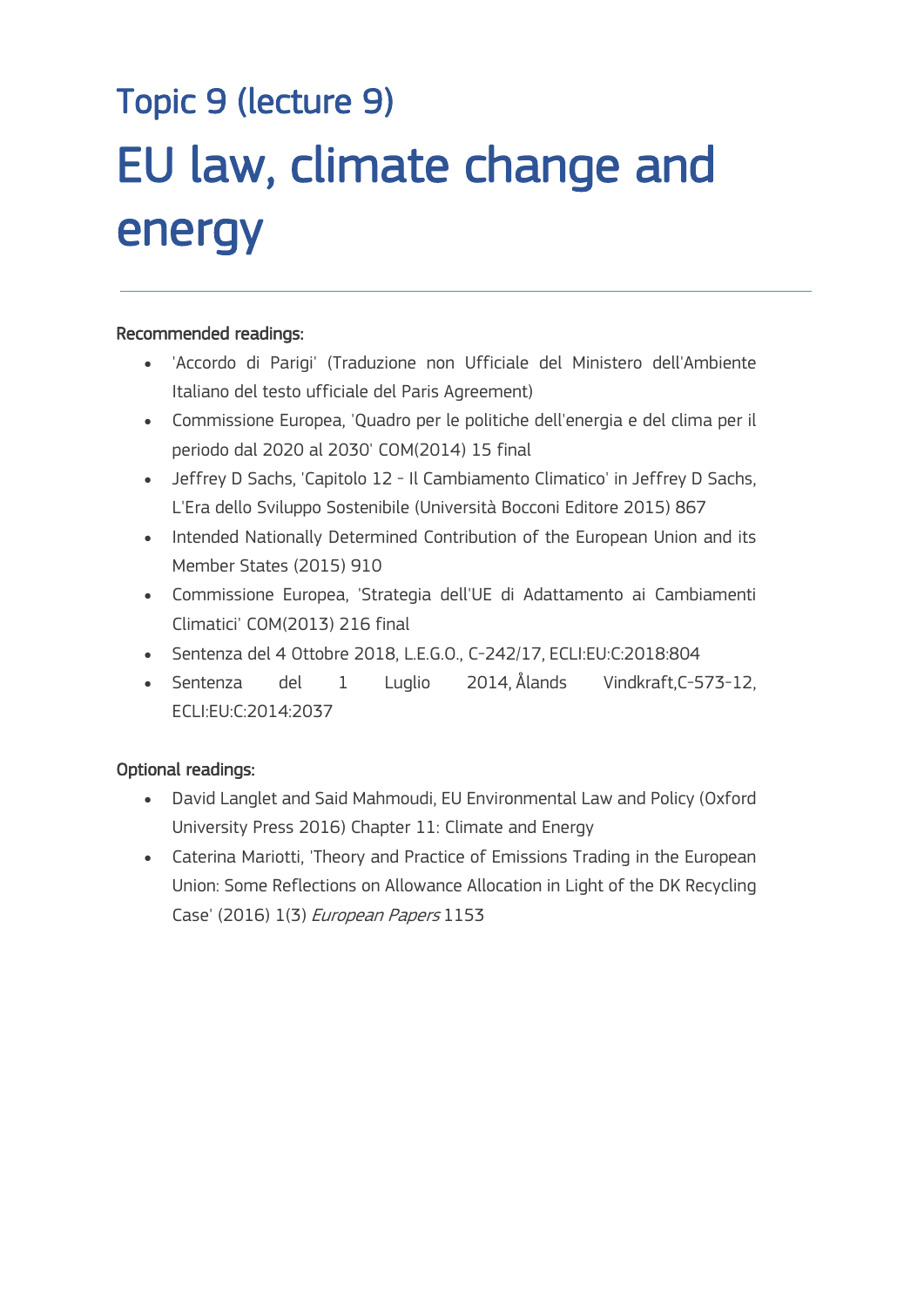# Topic 9 (lecture 9) EU law, climate change and energy

#### Recommended readings:

 $\overline{a}$ 

- 'Accordo di Parigi' (Traduzione non Ufficiale del Ministero dell'Ambiente Italiano del testo ufficiale del Paris Agreement)
- Commissione Europea, 'Quadro per le politiche dell'energia e del clima per il periodo dal 2020 al 2030' COM(2014) 15 final
- Jeffrey D Sachs, 'Capitolo 12 Il Cambiamento Climatico' in Jeffrey D Sachs, L'Era dello Sviluppo Sostenibile (Università Bocconi Editore 2015) 867
- Intended Nationally Determined Contribution of the European Union and its Member States (2015) 910
- Commissione Europea, 'Strategia dell'UE di Adattamento ai Cambiamenti Climatici' COM(2013) 216 final
- Sentenza del 4 Ottobre 2018, L.E.G.O., C-242/17, ECLI:EU:C:2018:804
- Sentenza del 1 Luglio 2014, Ålands Vindkraft,C-573-12, ECLI:EU:C:2014:2037

#### Optional readings:

- David Langlet and Said Mahmoudi, EU Environmental Law and Policy (Oxford University Press 2016) Chapter 11: Climate and Energy
- Caterina Mariotti, 'Theory and Practice of Emissions Trading in the European Union: Some Reflections on Allowance Allocation in Light of the DK Recycling Case' (2016) 1(3) European Papers 1153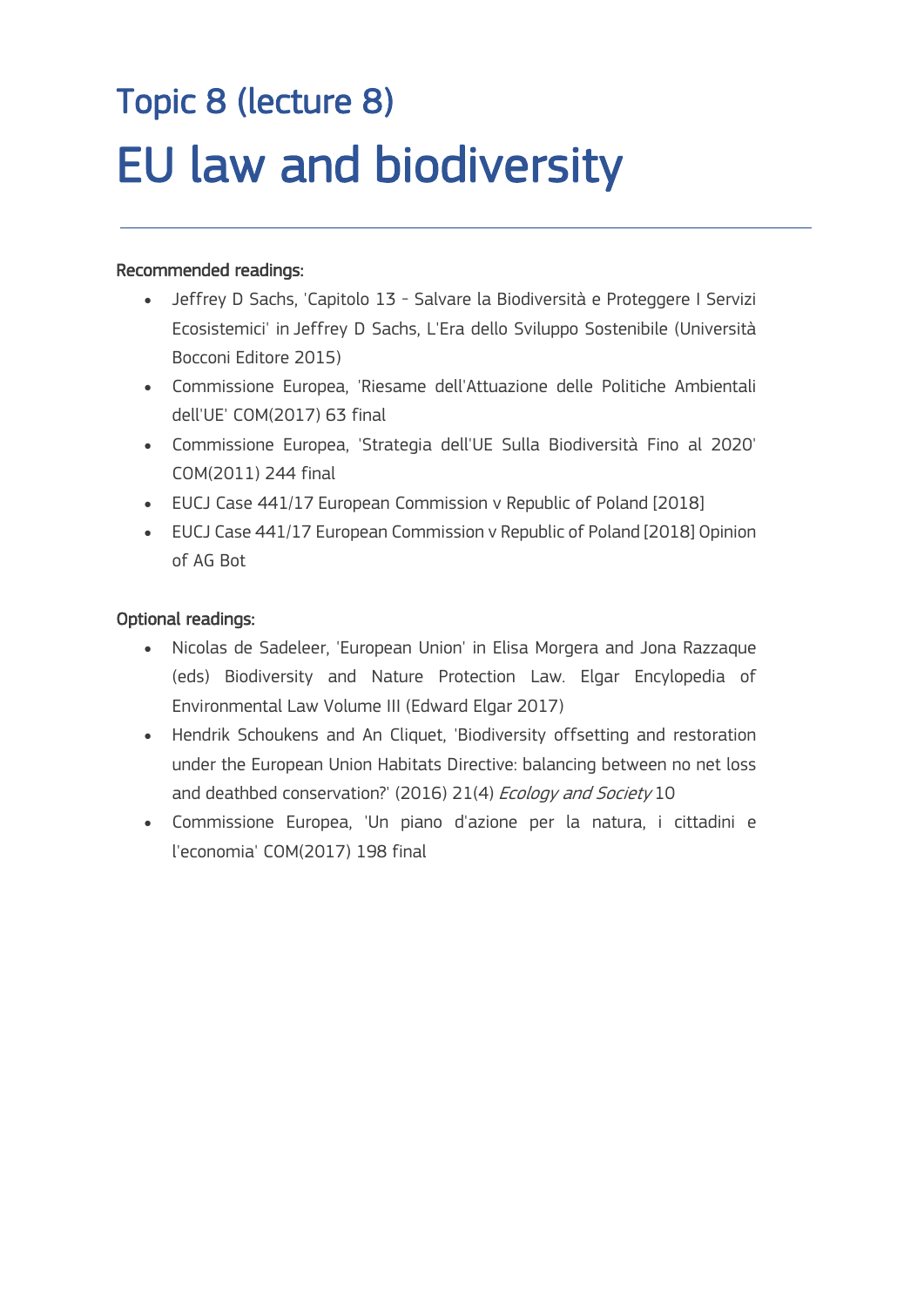## Topic 8 (lecture 8) EU law and biodiversity

#### Recommended readings:

 $\overline{a}$ 

- Jeffrey D Sachs, 'Capitolo 13 Salvare la Biodiversità e Proteggere I Servizi Ecosistemici' in Jeffrey D Sachs, L'Era dello Sviluppo Sostenibile (Università Bocconi Editore 2015)
- Commissione Europea, 'Riesame dell'Attuazione delle Politiche Ambientali dell'UE' COM(2017) 63 final
- Commissione Europea, 'Strategia dell'UE Sulla Biodiversità Fino al 2020' COM(2011) 244 final
- EUCJ Case 441/17 European Commission v Republic of Poland [2018]
- EUCJ Case 441/17 European Commission v Republic of Poland [2018] Opinion of AG Bot

#### Optional readings:

- Nicolas de Sadeleer, 'European Union' in Elisa Morgera and Jona Razzaque (eds) Biodiversity and Nature Protection Law. Elgar Encylopedia of Environmental Law Volume III (Edward Elgar 2017)
- Hendrik Schoukens and An Cliquet, 'Biodiversity offsetting and restoration under the European Union Habitats Directive: balancing between no net loss and deathbed conservation?' (2016) 21(4) Ecology and Society 10
- Commissione Europea, 'Un piano d'azione per la natura, i cittadini e l'economia' COM(2017) 198 final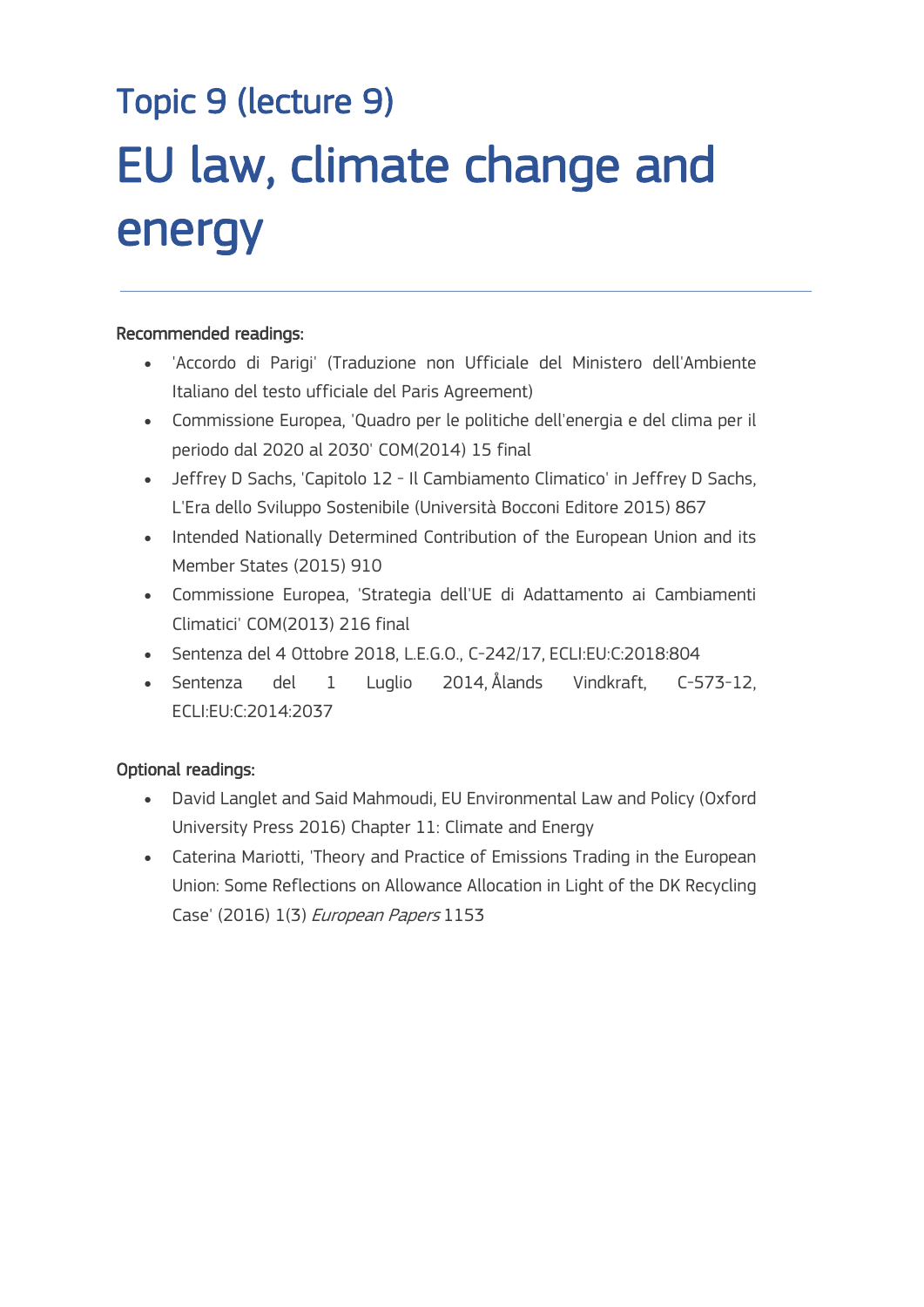# Topic 9 (lecture 9) EU law, climate change and energy

#### Recommended readings:

 $\overline{a}$ 

- 'Accordo di Parigi' (Traduzione non Ufficiale del Ministero dell'Ambiente Italiano del testo ufficiale del Paris Agreement)
- Commissione Europea, 'Quadro per le politiche dell'energia e del clima per il periodo dal 2020 al 2030' COM(2014) 15 final
- Jeffrey D Sachs, 'Capitolo 12 Il Cambiamento Climatico' in Jeffrey D Sachs, L'Era dello Sviluppo Sostenibile (Università Bocconi Editore 2015) 867
- Intended Nationally Determined Contribution of the European Union and its Member States (2015) 910
- Commissione Europea, 'Strategia dell'UE di Adattamento ai Cambiamenti Climatici' COM(2013) 216 final
- Sentenza del 4 Ottobre 2018, L.E.G.O., C-242/17, ECLI:EU:C:2018:804
- Sentenza del 1 Luglio 2014, Ålands Vindkraft, C-573-12, ECLI:EU:C:2014:2037

#### Optional readings:

- David Langlet and Said Mahmoudi, EU Environmental Law and Policy (Oxford University Press 2016) Chapter 11: Climate and Energy
- Caterina Mariotti, 'Theory and Practice of Emissions Trading in the European Union: Some Reflections on Allowance Allocation in Light of the DK Recycling Case' (2016) 1(3) European Papers 1153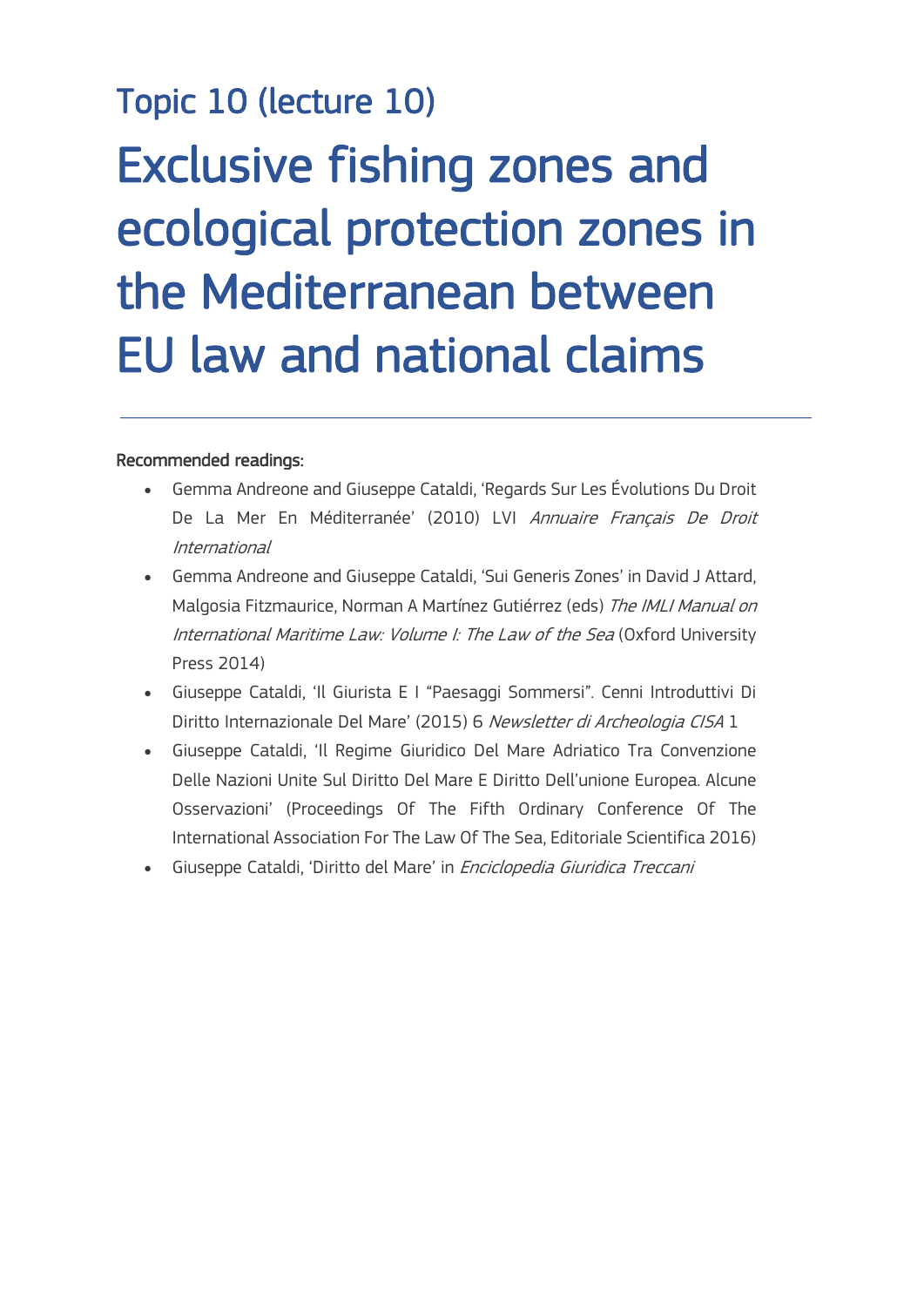### Topic 10 (lecture 10)

# Exclusive fishing zones and ecological protection zones in the Mediterranean between EU law and national claims

#### Recommended readings:

 $\frac{1}{\sqrt{2}}$ 

- Gemma Andreone and Giuseppe Cataldi, 'Regards Sur Les Évolutions Du Droit De La Mer En Méditerranée' (2010) LVI Annuaire Français De Droit International
- Gemma Andreone and Giuseppe Cataldi, 'Sui Generis Zones' in David J Attard, Malgosia Fitzmaurice, Norman A Martínez Gutiérrez (eds) The IMLI Manual on International Maritime Law: Volume I: The Law of the Sea (Oxford University Press 2014)
- Giuseppe Cataldi, 'Il Giurista E I "Paesaggi Sommersi". Cenni Introduttivi Di Diritto Internazionale Del Mare' (2015) 6 Newsletter di Archeologia CISA 1
- Giuseppe Cataldi, 'Il Regime Giuridico Del Mare Adriatico Tra Convenzione Delle Nazioni Unite Sul Diritto Del Mare E Diritto Dell'unione Europea. Alcune Osservazioni' (Proceedings Of The Fifth Ordinary Conference Of The International Association For The Law Of The Sea, Editoriale Scientifica 2016)
- Giuseppe Cataldi, 'Diritto del Mare' in Enciclopedia Giuridica Treccani